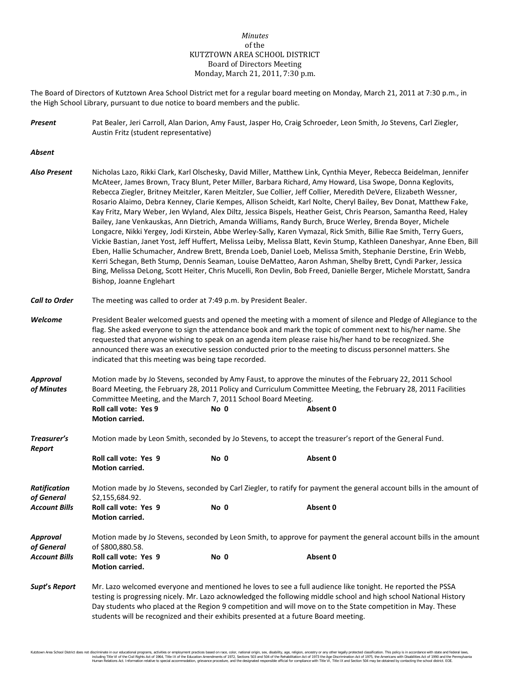# *Minutes* of the KUTZTOWN AREA SCHOOL DISTRICT Board of Directors Meeting Monday, March 21, 2011, 7:30 p.m.

The Board of Directors of Kutztown Area School District met for a regular board meeting on Monday, March 21, 2011 at 7:30 p.m., in the High School Library, pursuant to due notice to board members and the public.

*Present* Pat Bealer, Jeri Carroll, Alan Darion, Amy Faust, Jasper Ho, Craig Schroeder, Leon Smith, Jo Stevens, Carl Ziegler, Austin Fritz (student representative)

*Absent*

*Also Present* Nicholas Lazo, Rikki Clark, Karl Olschesky, David Miller, Matthew Link, Cynthia Meyer, Rebecca Beidelman, Jennifer McAteer, James Brown, Tracy Blunt, Peter Miller, Barbara Richard, Amy Howard, Lisa Swope, Donna Keglovits, Rebecca Ziegler, Britney Meitzler, Karen Meitzler, Sue Collier, Jeff Collier, Meredith DeVere, Elizabeth Wessner, Rosario Alaimo, Debra Kenney, Clarie Kempes, Allison Scheidt, Karl Nolte, Cheryl Bailey, Bev Donat, Matthew Fake, Kay Fritz, Mary Weber, Jen Wyland, Alex Diltz, Jessica Bispels, Heather Geist, Chris Pearson, Samantha Reed, Haley Bailey, Jane Venkauskas, Ann Dietrich, Amanda Williams, Randy Burch, Bruce Werley, Brenda Boyer, Michele Longacre, Nikki Yergey, Jodi Kirstein, Abbe Werley-Sally, Karen Vymazal, Rick Smith, Billie Rae Smith, Terry Guers, Vickie Bastian, Janet Yost, Jeff Huffert, Melissa Leiby, Melissa Blatt, Kevin Stump, Kathleen Daneshyar, Anne Eben, Bill Eben, Hallie Schumacher, Andrew Brett, Brenda Loeb, Daniel Loeb, Melissa Smith, Stephanie Derstine, Erin Webb, Kerri Schegan, Beth Stump, Dennis Seaman, Louise DeMatteo, Aaron Ashman, Shelby Brett, Cyndi Parker, Jessica Bing, Melissa DeLong, Scott Heiter, Chris Mucelli, Ron Devlin, Bob Freed, Danielle Berger, Michele Morstatt, Sandra Bishop, Joanne Englehart

*Call to Order* The meeting was called to order at 7:49 p.m. by President Bealer.

**Motion carried.**

- *Welcome* President Bealer welcomed guests and opened the meeting with a moment of silence and Pledge of Allegiance to the flag. She asked everyone to sign the attendance book and mark the topic of comment next to his/her name. She requested that anyone wishing to speak on an agenda item please raise his/her hand to be recognized. She announced there was an executive session conducted prior to the meeting to discuss personnel matters. She indicated that this meeting was being tape recorded.
- *Approval* Motion made by Jo Stevens, seconded by Amy Faust, to approve the minutes of the February 22, 2011 School *of Minutes* Board Meeting, the February 28, 2011 Policy and Curriculum Committee Meeting, the February 28, 2011 Facilities Committee Meeting, and the March 7, 2011 School Board Meeting. **Roll call vote: Yes 9 No 0 Absent 0**
- *Treasurer's* Motion made by Leon Smith, seconded by Jo Stevens, to accept the treasurer's report of the General Fund.

| Report               |                                                                                                                       |      |          |  |  |
|----------------------|-----------------------------------------------------------------------------------------------------------------------|------|----------|--|--|
|                      | Roll call vote: Yes 9                                                                                                 | No 0 | Absent 0 |  |  |
|                      | <b>Motion carried.</b>                                                                                                |      |          |  |  |
| Ratification         | Motion made by Jo Stevens, seconded by Carl Ziegler, to ratify for payment the general account bills in the amount of |      |          |  |  |
| of General           | \$2,155,684.92.                                                                                                       |      |          |  |  |
| <b>Account Bills</b> | Roll call vote: Yes 9                                                                                                 | No 0 | Absent 0 |  |  |
|                      | <b>Motion carried.</b>                                                                                                |      |          |  |  |
| Approval             | Motion made by Jo Stevens, seconded by Leon Smith, to approve for payment the general account bills in the amount     |      |          |  |  |
| of General           | of \$800,880.58.                                                                                                      |      |          |  |  |
| <b>Account Bills</b> | Roll call vote: Yes 9                                                                                                 | No 0 | Absent 0 |  |  |
|                      | <b>Motion carried.</b>                                                                                                |      |          |  |  |

*Supt***'s** *Report* Mr. Lazo welcomed everyone and mentioned he loves to see a full audience like tonight. He reported the PSSA testing is progressing nicely. Mr. Lazo acknowledged the following middle school and high school National History Day students who placed at the Region 9 competition and will move on to the State competition in May. These students will be recognized and their exhibits presented at a future Board meeting.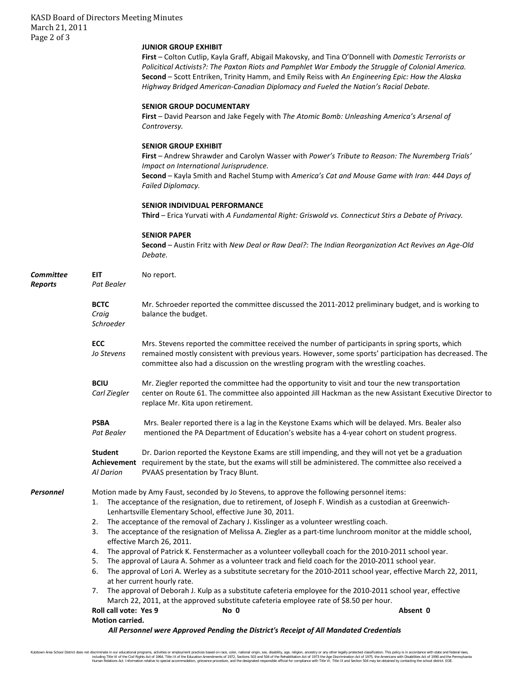# **JUNIOR GROUP EXHIBIT**

**First** – Colton Cutlip, Kayla Graff, Abigail Makovsky, and Tina O'Donnell with *Domestic Terrorists or Policitical Activists?: The Paxton Riots and Pamphlet War Embody the Struggle of Colonial America.* **Second** – Scott Entriken, Trinity Hamm, and Emily Reiss with *An Engineering Epic: How the Alaska Highway Bridged American-Canadian Diplomacy and Fueled the Nation's Racial Debate.*

#### **SENIOR GROUP DOCUMENTARY**

**First** – David Pearson and Jake Fegely with *The Atomic Bomb: Unleashing America's Arsenal of Controversy.*

## **SENIOR GROUP EXHIBIT**

**First** – Andrew Shrawder and Carolyn Wasser with *Power's Tribute to Reason: The Nuremberg Trials' Impact on International Jurisprudence.* **Second** – Kayla Smith and Rachel Stump with *America's Cat and Mouse Game with Iran: 444 Days of Failed Diplomacy.*

### **SENIOR INDIVIDUAL PERFORMANCE**

**Third** – Erica Yurvati with *A Fundamental Right: Griswold vs. Connecticut Stirs a Debate of Privacy.*

## **SENIOR PAPER**

**Second** – Austin Fritz with *New Deal or Raw Deal?: The Indian Reorganization Act Revives an Age-Old Debate.*

| Committee<br><b>Reports</b> | <b>EIT</b><br>No report.<br>Pat Bealer                                                                                                                                                                                                                                                                                                                                                                                                                                                                                                                                                                                                                                                                                                                                                                                                                                                                                                                                                                                                                                                                                                                                                                              |                                                                                                                                                                                                                                                                                                   |  |  |  |  |
|-----------------------------|---------------------------------------------------------------------------------------------------------------------------------------------------------------------------------------------------------------------------------------------------------------------------------------------------------------------------------------------------------------------------------------------------------------------------------------------------------------------------------------------------------------------------------------------------------------------------------------------------------------------------------------------------------------------------------------------------------------------------------------------------------------------------------------------------------------------------------------------------------------------------------------------------------------------------------------------------------------------------------------------------------------------------------------------------------------------------------------------------------------------------------------------------------------------------------------------------------------------|---------------------------------------------------------------------------------------------------------------------------------------------------------------------------------------------------------------------------------------------------------------------------------------------------|--|--|--|--|
|                             | <b>BCTC</b><br>Craig<br>Schroeder                                                                                                                                                                                                                                                                                                                                                                                                                                                                                                                                                                                                                                                                                                                                                                                                                                                                                                                                                                                                                                                                                                                                                                                   | Mr. Schroeder reported the committee discussed the 2011-2012 preliminary budget, and is working to<br>balance the budget.                                                                                                                                                                         |  |  |  |  |
|                             | <b>ECC</b><br>Jo Stevens                                                                                                                                                                                                                                                                                                                                                                                                                                                                                                                                                                                                                                                                                                                                                                                                                                                                                                                                                                                                                                                                                                                                                                                            | Mrs. Stevens reported the committee received the number of participants in spring sports, which<br>remained mostly consistent with previous years. However, some sports' participation has decreased. The<br>committee also had a discussion on the wrestling program with the wrestling coaches. |  |  |  |  |
|                             | <b>BCIU</b><br>Carl Ziegler                                                                                                                                                                                                                                                                                                                                                                                                                                                                                                                                                                                                                                                                                                                                                                                                                                                                                                                                                                                                                                                                                                                                                                                         | Mr. Ziegler reported the committee had the opportunity to visit and tour the new transportation<br>center on Route 61. The committee also appointed Jill Hackman as the new Assistant Executive Director to<br>replace Mr. Kita upon retirement.                                                  |  |  |  |  |
|                             | <b>PSBA</b><br>Pat Bealer                                                                                                                                                                                                                                                                                                                                                                                                                                                                                                                                                                                                                                                                                                                                                                                                                                                                                                                                                                                                                                                                                                                                                                                           | Mrs. Bealer reported there is a lag in the Keystone Exams which will be delayed. Mrs. Bealer also<br>mentioned the PA Department of Education's website has a 4-year cohort on student progress.                                                                                                  |  |  |  |  |
|                             | <b>Student</b><br>Al Darion                                                                                                                                                                                                                                                                                                                                                                                                                                                                                                                                                                                                                                                                                                                                                                                                                                                                                                                                                                                                                                                                                                                                                                                         | Dr. Darion reported the Keystone Exams are still impending, and they will not yet be a graduation<br>Achievement requirement by the state, but the exams will still be administered. The committee also received a<br>PVAAS presentation by Tracy Blunt.                                          |  |  |  |  |
| Personnel                   | Motion made by Amy Faust, seconded by Jo Stevens, to approve the following personnel items:<br>The acceptance of the resignation, due to retirement, of Joseph F. Windish as a custodian at Greenwich-<br>1.<br>Lenhartsville Elementary School, effective June 30, 2011.<br>The acceptance of the removal of Zachary J. Kisslinger as a volunteer wrestling coach.<br>2.<br>The acceptance of the resignation of Melissa A. Ziegler as a part-time lunchroom monitor at the middle school,<br>3.<br>effective March 26, 2011.<br>The approval of Patrick K. Fenstermacher as a volunteer volleyball coach for the 2010-2011 school year.<br>4.<br>The approval of Laura A. Sohmer as a volunteer track and field coach for the 2010-2011 school year.<br>5.<br>The approval of Lori A. Werley as a substitute secretary for the 2010-2011 school year, effective March 22, 2011,<br>6.<br>at her current hourly rate.<br>The approval of Deborah J. Kulp as a substitute cafeteria employee for the 2010-2011 school year, effective<br>7.<br>March 22, 2011, at the approved substitute cafeteria employee rate of \$8.50 per hour.<br><b>Roll call vote: Yes 9</b><br>No 0<br>Absent 0<br><b>Motion carried.</b> |                                                                                                                                                                                                                                                                                                   |  |  |  |  |
|                             | All Personnel were Approved Pending the District's Receipt of All Mandated Credentials                                                                                                                                                                                                                                                                                                                                                                                                                                                                                                                                                                                                                                                                                                                                                                                                                                                                                                                                                                                                                                                                                                                              |                                                                                                                                                                                                                                                                                                   |  |  |  |  |